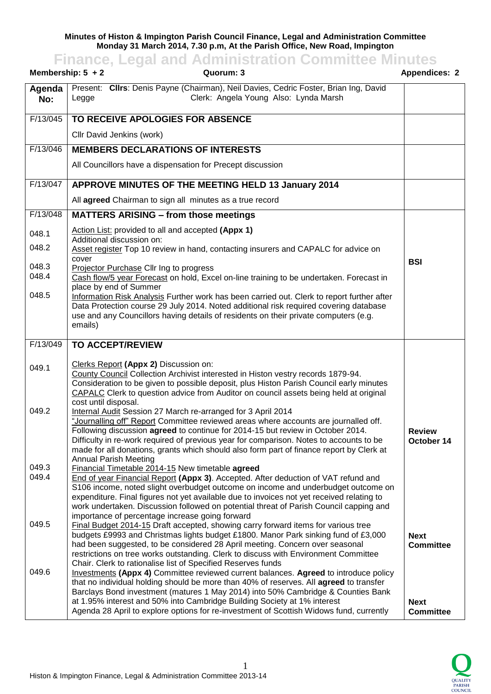## **Minutes of Histon & Impington Parish Council Finance, Legal and Administration Committee Monday 31 March 2014, 7.30 p.m, At the Parish Office, New Road, Impington**

**Finance, Legal and Administration Committee Minutes**

|                | Membership: $5 + 2$<br>Quorum: 3                                                                                                                                                                                                                                                                                                                                                                                                                                                                                 | <b>Appendices: 2</b>            |
|----------------|------------------------------------------------------------------------------------------------------------------------------------------------------------------------------------------------------------------------------------------------------------------------------------------------------------------------------------------------------------------------------------------------------------------------------------------------------------------------------------------------------------------|---------------------------------|
| Agenda<br>No:  | Present: Cllrs: Denis Payne (Chairman), Neil Davies, Cedric Foster, Brian Ing, David<br>Clerk: Angela Young Also: Lynda Marsh<br>Legge                                                                                                                                                                                                                                                                                                                                                                           |                                 |
| F/13/045       | TO RECEIVE APOLOGIES FOR ABSENCE                                                                                                                                                                                                                                                                                                                                                                                                                                                                                 |                                 |
|                | Cllr David Jenkins (work)                                                                                                                                                                                                                                                                                                                                                                                                                                                                                        |                                 |
| F/13/046       | <b>MEMBERS DECLARATIONS OF INTERESTS</b>                                                                                                                                                                                                                                                                                                                                                                                                                                                                         |                                 |
|                | All Councillors have a dispensation for Precept discussion                                                                                                                                                                                                                                                                                                                                                                                                                                                       |                                 |
| F/13/047       | APPROVE MINUTES OF THE MEETING HELD 13 January 2014                                                                                                                                                                                                                                                                                                                                                                                                                                                              |                                 |
|                | All agreed Chairman to sign all minutes as a true record                                                                                                                                                                                                                                                                                                                                                                                                                                                         |                                 |
| F/13/048       | <b>MATTERS ARISING - from those meetings</b>                                                                                                                                                                                                                                                                                                                                                                                                                                                                     |                                 |
| 048.1          | Action List: provided to all and accepted (Appx 1)                                                                                                                                                                                                                                                                                                                                                                                                                                                               |                                 |
| 048.2          | Additional discussion on:<br>Asset register Top 10 review in hand, contacting insurers and CAPALC for advice on                                                                                                                                                                                                                                                                                                                                                                                                  |                                 |
| 048.3          | cover<br>Projector Purchase Cllr Ing to progress                                                                                                                                                                                                                                                                                                                                                                                                                                                                 | <b>BSI</b>                      |
| 048.4          | Cash flow/5 year Forecast on hold, Excel on-line training to be undertaken. Forecast in                                                                                                                                                                                                                                                                                                                                                                                                                          |                                 |
| 048.5          | place by end of Summer<br>Information Risk Analysis Further work has been carried out. Clerk to report further after<br>Data Protection course 29 July 2014. Noted additional risk required covering database<br>use and any Councillors having details of residents on their private computers (e.g.<br>emails)                                                                                                                                                                                                 |                                 |
| F/13/049       | <b>TO ACCEPT/REVIEW</b>                                                                                                                                                                                                                                                                                                                                                                                                                                                                                          |                                 |
| 049.1          | Clerks Report (Appx 2) Discussion on:<br>County Council Collection Archivist interested in Histon vestry records 1879-94.<br>Consideration to be given to possible deposit, plus Histon Parish Council early minutes<br>CAPALC Clerk to question advice from Auditor on council assets being held at original                                                                                                                                                                                                    |                                 |
| 049.2          | cost until disposal.<br>Internal Audit Session 27 March re-arranged for 3 April 2014<br>"Journalling off" Report Committee reviewed areas where accounts are journalled off.<br>Following discussion agreed to continue for 2014-15 but review in October 2014.<br>Difficulty in re-work required of previous year for comparison. Notes to accounts to be<br>made for all donations, grants which should also form part of finance report by Clerk at<br><b>Annual Parish Meeting</b>                           | <b>Review</b><br>October 14     |
| 049.3<br>049.4 | Financial Timetable 2014-15 New timetable agreed<br>End of year Financial Report (Appx 3). Accepted. After deduction of VAT refund and<br>S106 income, noted slight overbudget outcome on income and underbudget outcome on<br>expenditure. Final figures not yet available due to invoices not yet received relating to<br>work undertaken. Discussion followed on potential threat of Parish Council capping and                                                                                               |                                 |
| 049.5          | importance of percentage increase going forward<br>Final Budget 2014-15 Draft accepted, showing carry forward items for various tree<br>budgets £9993 and Christmas lights budget £1800. Manor Park sinking fund of £3,000<br>had been suggested, to be considered 28 April meeting. Concern over seasonal<br>restrictions on tree works outstanding. Clerk to discuss with Environment Committee                                                                                                                | <b>Next</b><br><b>Committee</b> |
| 049.6          | Chair. Clerk to rationalise list of Specified Reserves funds<br><b>Investments (Appx 4)</b> Committee reviewed current balances. Agreed to introduce policy<br>that no individual holding should be more than 40% of reserves. All agreed to transfer<br>Barclays Bond investment (matures 1 May 2014) into 50% Cambridge & Counties Bank<br>at 1.95% interest and 50% into Cambridge Building Society at 1% interest<br>Agenda 28 April to explore options for re-investment of Scottish Widows fund, currently | <b>Next</b><br><b>Committee</b> |